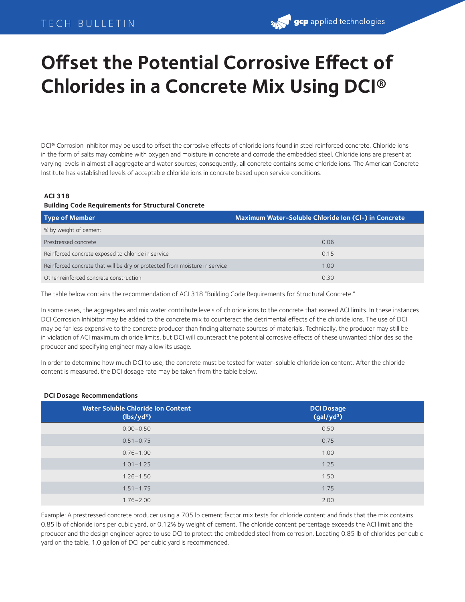## TECH BULLETIN

## **gcp** applied technologies

# **Offset the Potential Corrosive Effect of Chlorides in a Concrete Mix Using DCI®**

DCI® Corrosion Inhibitor may be used to offset the corrosive effects of chloride ions found in steel reinforced concrete. Chloride ions in the form of salts may combine with oxygen and moisture in concrete and corrode the embedded steel. Chloride ions are present at varying levels in almost all aggregate and water sources; consequently, all concrete contains some chloride ions. The American Concrete Institute has established levels of acceptable chloride ions in concrete based upon service conditions.

#### **ACI 318**

#### **Building Code Requirements for Structural Concrete**

| Type of Member                                                             | Maximum Water-Soluble Chloride Ion (CI-) in Concrete |
|----------------------------------------------------------------------------|------------------------------------------------------|
| % by weight of cement                                                      |                                                      |
| Prestressed concrete                                                       | 0.06                                                 |
| Reinforced concrete exposed to chloride in service                         | 0.15                                                 |
| Reinforced concrete that will be dry or protected from moisture in service | 1.00                                                 |
| Other reinforced concrete construction                                     | 0.30                                                 |

The table below contains the recommendation of ACI 318 "Building Code Requirements for Structural Concrete."

In some cases, the aggregates and mix water contribute levels of chloride ions to the concrete that exceed ACI limits. In these instances DCI Corrosion Inhibitor may be added to the concrete mix to counteract the detrimental effects of the chloride ions. The use of DCI may be far less expensive to the concrete producer than finding alternate sources of materials. Technically, the producer may still be in violation of ACI maximum chloride limits, but DCI will counteract the potential corrosive effects of these unwanted chlorides so the producer and specifying engineer may allow its usage.

In order to determine how much DCI to use, the concrete must be tested for water-soluble chloride ion content. After the chloride content is measured, the DCI dosage rate may be taken from the table below.

#### **DCI Dosage Recommendations**

| <b>Water Soluble Chloride Ion Content</b><br>(lbs/yd <sup>3</sup> ) | <b>DCI Dosage</b><br>(gal/yd <sup>3</sup> ) |
|---------------------------------------------------------------------|---------------------------------------------|
| $0.00 - 0.50$                                                       | 0.50                                        |
| $0.51 - 0.75$                                                       | 0.75                                        |
| $0.76 - 1.00$                                                       | 1.00                                        |
| $1.01 - 1.25$                                                       | 1.25                                        |
| $1.26 - 1.50$                                                       | 1.50                                        |
| $1.51 - 1.75$                                                       | 1.75                                        |
| $1.76 - 2.00$                                                       | 2.00                                        |

Example: A prestressed concrete producer using a 705 lb cement factor mix tests for chloride content and finds that the mix contains 0.85 lb of chloride ions per cubic yard, or 0.12% by weight of cement. The chloride content percentage exceeds the ACI limit and the producer and the design engineer agree to use DCI to protect the embedded steel from corrosion. Locating 0.85 lb of chlorides per cubic yard on the table, 1.0 gallon of DCI per cubic yard is recommended.